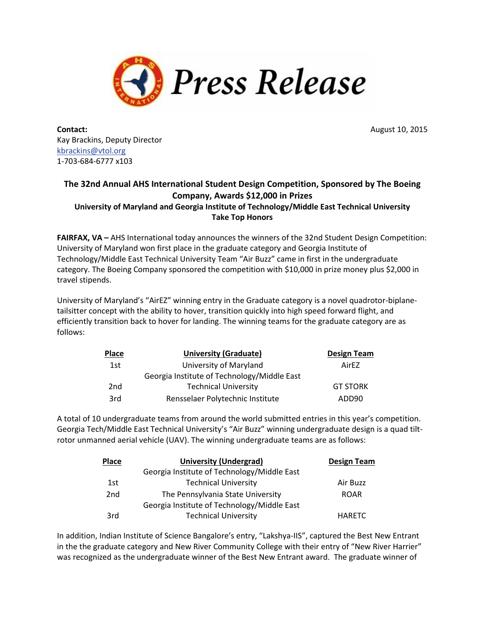

**Contact:** August 10, 2015 Kay Brackins, Deputy Director [kbrackins@vtol.org](mailto:kbrackins@vtol.org) 1-703-684-6777 x103

## **The 32nd Annual AHS International Student Design Competition, Sponsored by The Boeing Company, Awards \$12,000 in Prizes University of Maryland and Georgia Institute of Technology/Middle East Technical University Take Top Honors**

**FAIRFAX, VA –** AHS International today announces the winners of the 32nd Student Design Competition: University of Maryland won first place in the graduate category and Georgia Institute of Technology/Middle East Technical University Team "Air Buzz" came in first in the undergraduate category. The Boeing Company sponsored the competition with \$10,000 in prize money plus \$2,000 in travel stipends.

University of Maryland's "AirEZ" winning entry in the Graduate category is a novel quadrotor-biplanetailsitter concept with the ability to hover, transition quickly into high speed forward flight, and efficiently transition back to hover for landing. The winning teams for the graduate category are as follows:

| <b>Place</b>    | <b>University (Graduate)</b>                | <b>Design Team</b> |
|-----------------|---------------------------------------------|--------------------|
| 1st             | University of Maryland                      | AirF7              |
|                 | Georgia Institute of Technology/Middle East |                    |
| 2 <sub>nd</sub> | <b>Technical University</b>                 | <b>GT STORK</b>    |
| 3rd             | Rensselaer Polytechnic Institute            | ADD90              |

A total of 10 undergraduate teams from around the world submitted entries in this year's competition. Georgia Tech/Middle East Technical University's "Air Buzz" winning undergraduate design is a quad tiltrotor unmanned aerial vehicle (UAV). The winning undergraduate teams are as follows:

| <b>Place</b>    | <b>University (Undergrad)</b>               | <b>Design Team</b> |
|-----------------|---------------------------------------------|--------------------|
|                 | Georgia Institute of Technology/Middle East |                    |
| 1st             | <b>Technical University</b>                 | Air Buzz           |
| 2 <sub>nd</sub> | The Pennsylvania State University           | <b>ROAR</b>        |
|                 | Georgia Institute of Technology/Middle East |                    |
| 3rd             | <b>Technical University</b>                 | <b>HARETC</b>      |

In addition, Indian Institute of Science Bangalore's entry, "Lakshya-IIS", captured the Best New Entrant in the the graduate category and New River Community College with their entry of "New River Harrier" was recognized as the undergraduate winner of the Best New Entrant award. The graduate winner of